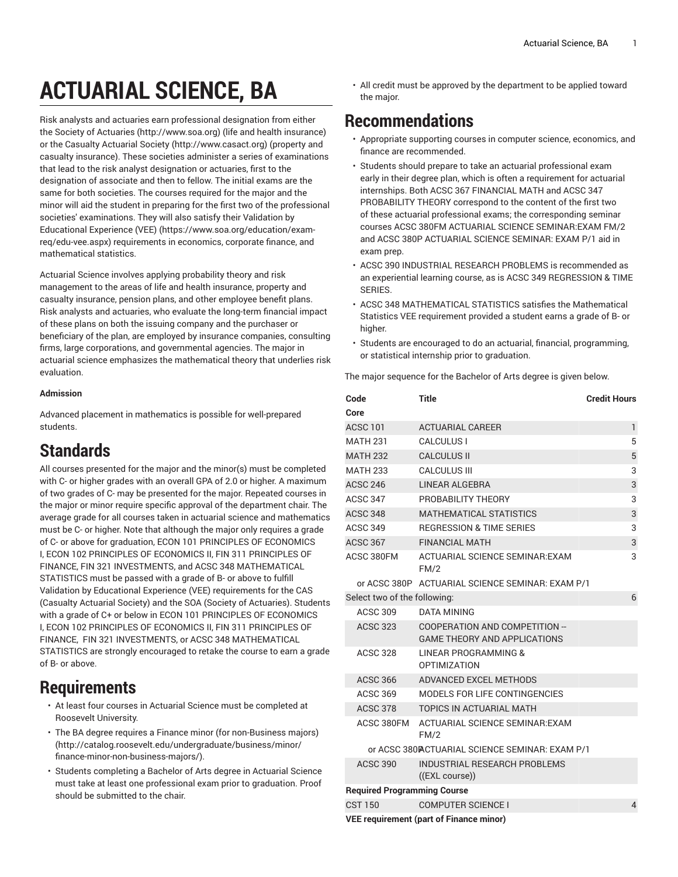# **ACTUARIAL SCIENCE, BA**

Risk analysts and actuaries earn professional designation from either the [Society of Actuaries \(http://www.soa.org\)](http://www.soa.org) (life and health insurance) or the [Casualty Actuarial Society](http://www.casact.org) ([http://www.casact.org\)](http://www.casact.org) (property and casualty insurance). These societies administer a series of examinations that lead to the risk analyst designation or actuaries, first to the designation of associate and then to fellow. The initial exams are the same for both societies. The courses required for the major and the minor will aid the student in preparing for the first two of the professional societies' examinations. They will also satisfy their [Validation](https://www.soa.org/education/exam-req/edu-vee.aspx) by [Educational](https://www.soa.org/education/exam-req/edu-vee.aspx) Experience (VEE) [\(https://www.soa.org/education/exam](https://www.soa.org/education/exam-req/edu-vee.aspx)[req/edu-vee.aspx\)](https://www.soa.org/education/exam-req/edu-vee.aspx) requirements in economics, corporate finance, and mathematical statistics.

Actuarial Science involves applying probability theory and risk management to the areas of life and health insurance, property and casualty insurance, pension plans, and other employee benefit plans. Risk analysts and actuaries, who evaluate the long-term financial impact of these plans on both the issuing company and the purchaser or beneficiary of the plan, are employed by insurance companies, consulting firms, large corporations, and governmental agencies. The major in actuarial science emphasizes the mathematical theory that underlies risk evaluation.

#### **Admission**

Advanced placement in mathematics is possible for well-prepared students.

## **Standards**

All courses presented for the major and the minor(s) must be completed with C- or higher grades with an overall GPA of 2.0 or higher. A maximum of two grades of C- may be presented for the major. Repeated courses in the major or minor require specific approval of the department chair. The average grade for all courses taken in actuarial science and mathematics must be C- or higher. Note that although the major only requires a grade of C- or above for graduation, ECON 101 PRINCIPLES OF ECONOMICS I, ECON 102 PRINCIPLES OF ECONOMICS II, FIN 311 PRINCIPLES OF FINANCE, FIN 321 INVESTMENTS, and ACSC 348 MATHEMATICAL STATISTICS must be passed with a grade of B- or above to fulfill Validation by Educational Experience (VEE) requirements for the CAS (Casualty Actuarial Society) and the SOA (Society of Actuaries). Students with a grade of C+ or below in ECON 101 PRINCIPLES OF ECONOMICS I, ECON 102 PRINCIPLES OF ECONOMICS II, FIN 311 PRINCIPLES OF FINANCE, FIN 321 INVESTMENTS, or ACSC 348 MATHEMATICAL STATISTICS are strongly encouraged to retake the course to earn a grade of B- or above.

#### **Requirements**

- At least four courses in Actuarial Science must be completed at Roosevelt University.
- The BA degree requires a [Finance minor \(for non-Business majors\)](http://catalog.roosevelt.edu/undergraduate/business/minor/finance-minor-non-business-majors/) ([http://catalog.roosevelt.edu/undergraduate/business/minor/](http://catalog.roosevelt.edu/undergraduate/business/minor/finance-minor-non-business-majors/) [finance-minor-non-business-majors/](http://catalog.roosevelt.edu/undergraduate/business/minor/finance-minor-non-business-majors/)).
- Students completing a Bachelor of Arts degree in Actuarial Science must take at least one professional exam prior to graduation. Proof should be submitted to the chair.

• All credit must be approved by the department to be applied toward the major.

### **Recommendations**

- Appropriate supporting courses in computer science, economics, and finance are recommended.
- Students should prepare to take an actuarial professional exam early in their degree plan, which is often a requirement for actuarial internships. Both ACSC 367 FINANCIAL MATH and ACSC 347 PROBABILITY THEORY correspond to the content of the first two of these actuarial professional exams; the corresponding seminar courses ACSC 380FM ACTUARIAL SCIENCE SEMINAR:EXAM FM/2 and ACSC 380P ACTUARIAL SCIENCE SEMINAR: EXAM P/1 aid in exam prep.
- ACSC 390 INDUSTRIAL RESEARCH PROBLEMS is recommended as an experiential learning course, as is ACSC 349 REGRESSION & TIME SERIES.
- ACSC 348 MATHEMATICAL STATISTICS satisfies the Mathematical Statistics VEE requirement provided a student earns a grade of B- or higher.
- Students are encouraged to do an actuarial, financial, programming, or statistical internship prior to graduation.

The major sequence for the Bachelor of Arts degree is given below.

| Code                               | <b>Title</b>                                                          | <b>Credit Hours</b> |
|------------------------------------|-----------------------------------------------------------------------|---------------------|
| Core                               |                                                                       |                     |
| <b>ACSC 101</b>                    | <b>ACTUARIAL CAREER</b>                                               | $\mathbf{1}$        |
| <b>MATH 231</b>                    | <b>CALCULUS I</b>                                                     | 5                   |
| <b>MATH 232</b>                    | <b>CALCULUS II</b>                                                    | 5                   |
| <b>MATH 233</b>                    | <b>CALCULUS III</b>                                                   | 3                   |
| <b>ACSC 246</b>                    | <b>LINEAR ALGEBRA</b>                                                 | 3                   |
| ACSC 347                           | PROBABILITY THEORY                                                    | 3                   |
| <b>ACSC 348</b>                    | <b>MATHEMATICAL STATISTICS</b>                                        | 3                   |
| <b>ACSC 349</b>                    | <b>REGRESSION &amp; TIME SERIES</b>                                   | 3                   |
| <b>ACSC 367</b>                    | <b>FINANCIAL MATH</b>                                                 | 3                   |
| ACSC 380FM                         | <b>ACTUARIAL SCIENCE SEMINAR: EXAM</b><br>FM/2                        | 3                   |
|                                    | or ACSC 380P ACTUARIAL SCIENCE SEMINAR: EXAM P/1                      |                     |
| Select two of the following:       |                                                                       | 6                   |
| <b>ACSC 309</b>                    | DATA MINING                                                           |                     |
| <b>ACSC 323</b>                    | COOPERATION AND COMPETITION --<br><b>GAME THEORY AND APPLICATIONS</b> |                     |
| <b>ACSC 328</b>                    | LINEAR PROGRAMMING &<br><b>OPTIMIZATION</b>                           |                     |
| <b>ACSC 366</b>                    | ADVANCED EXCEL METHODS                                                |                     |
| <b>ACSC 369</b>                    | MODELS FOR LIFE CONTINGENCIES                                         |                     |
| <b>ACSC 378</b>                    | <b>TOPICS IN ACTUARIAL MATH</b>                                       |                     |
| ACSC 380FM                         | ACTUARIAL SCIENCE SEMINAR: EXAM<br>FM/2                               |                     |
|                                    | or ACSC 380PACTUARIAL SCIENCE SEMINAR: EXAM P/1                       |                     |
| <b>ACSC 390</b>                    | INDUSTRIAL RESEARCH PROBLEMS<br>((EXL course))                        |                     |
| <b>Required Programming Course</b> |                                                                       |                     |
| <b>CST 150</b>                     | <b>COMPUTER SCIENCE I</b>                                             | $\overline{4}$      |
|                                    | <b>VEE requirement (part of Finance minor)</b>                        |                     |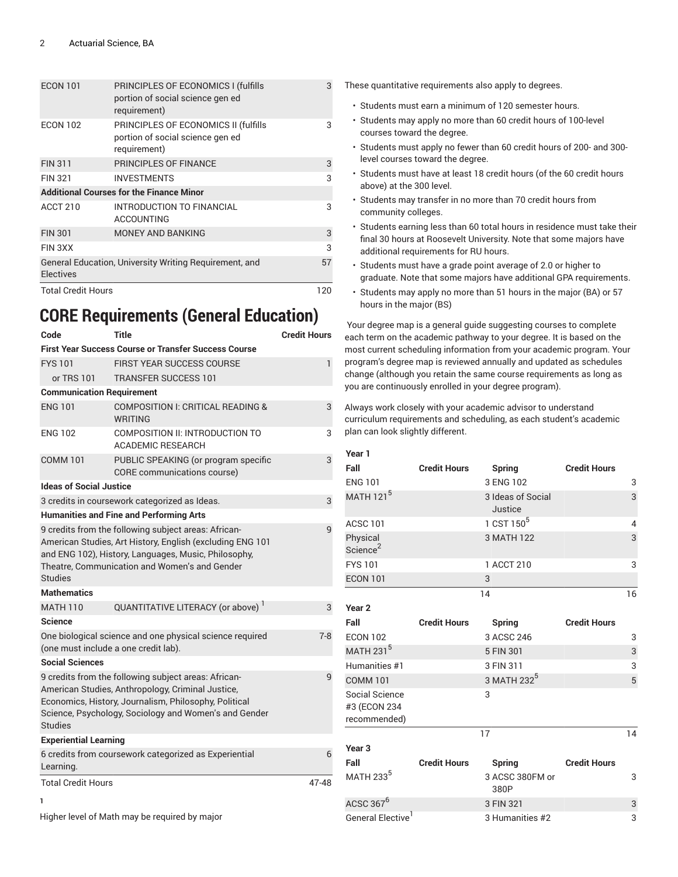| <b>ECON 101</b>           | PRINCIPLES OF ECONOMICS I (fulfills<br>portion of social science gen ed<br>requirement)  | 3  |
|---------------------------|------------------------------------------------------------------------------------------|----|
| <b>ECON 102</b>           | PRINCIPLES OF ECONOMICS II (fulfills<br>portion of social science gen ed<br>requirement) | 3  |
| <b>FIN 311</b>            | <b>PRINCIPLES OF FINANCE</b>                                                             | 3  |
| <b>FIN 321</b>            | <b>INVESTMENTS</b>                                                                       | 3  |
|                           | <b>Additional Courses for the Finance Minor</b>                                          |    |
| ACCT 210                  | INTRODUCTION TO FINANCIAL<br><b>ACCOUNTING</b>                                           | 3  |
| <b>FIN 301</b>            | <b>MONEY AND BANKING</b>                                                                 | 3  |
| FIN 3XX                   |                                                                                          | 3  |
| <b>Electives</b>          | General Education, University Writing Requirement, and                                   | 57 |
| <b>Total Credit Hours</b> |                                                                                          |    |

# **CORE Requirements (General Education)**

| Code                                                                                                                                                                                                                                               | Title                                                               | <b>Credit Hours</b> |  |  |
|----------------------------------------------------------------------------------------------------------------------------------------------------------------------------------------------------------------------------------------------------|---------------------------------------------------------------------|---------------------|--|--|
|                                                                                                                                                                                                                                                    | <b>First Year Success Course or Transfer Success Course</b>         |                     |  |  |
| <b>FYS 101</b>                                                                                                                                                                                                                                     | <b>FIRST YEAR SUCCESS COURSE</b>                                    | 1                   |  |  |
| or TRS 101                                                                                                                                                                                                                                         | <b>TRANSFER SUCCESS 101</b>                                         |                     |  |  |
| <b>Communication Requirement</b>                                                                                                                                                                                                                   |                                                                     |                     |  |  |
| <b>ENG 101</b>                                                                                                                                                                                                                                     | COMPOSITION I: CRITICAL READING &<br>WRITING                        | 3                   |  |  |
| <b>ENG 102</b>                                                                                                                                                                                                                                     | COMPOSITION II: INTRODUCTION TO<br><b>ACADEMIC RESEARCH</b>         | 3                   |  |  |
| <b>COMM 101</b>                                                                                                                                                                                                                                    | PUBLIC SPEAKING (or program specific<br>CORE communications course) | 3                   |  |  |
| <b>Ideas of Social Justice</b>                                                                                                                                                                                                                     |                                                                     |                     |  |  |
|                                                                                                                                                                                                                                                    | 3 credits in coursework categorized as Ideas.                       | 3                   |  |  |
|                                                                                                                                                                                                                                                    | <b>Humanities and Fine and Performing Arts</b>                      |                     |  |  |
| 9 credits from the following subject areas: African-<br>9<br>American Studies, Art History, English (excluding ENG 101<br>and ENG 102), History, Languages, Music, Philosophy,<br>Theatre, Communication and Women's and Gender<br><b>Studies</b>  |                                                                     |                     |  |  |
| <b>Mathematics</b>                                                                                                                                                                                                                                 |                                                                     |                     |  |  |
| <b>MATH 110</b>                                                                                                                                                                                                                                    | QUANTITATIVE LITERACY (or above)                                    | 3                   |  |  |
| Science                                                                                                                                                                                                                                            |                                                                     |                     |  |  |
| One biological science and one physical science required<br>$7-8$<br>(one must include a one credit lab).                                                                                                                                          |                                                                     |                     |  |  |
| <b>Social Sciences</b>                                                                                                                                                                                                                             |                                                                     |                     |  |  |
| 9 credits from the following subject areas: African-<br>q<br>American Studies, Anthropology, Criminal Justice,<br>Economics, History, Journalism, Philosophy, Political<br>Science, Psychology, Sociology and Women's and Gender<br><b>Studies</b> |                                                                     |                     |  |  |
| <b>Experiential Learning</b>                                                                                                                                                                                                                       |                                                                     |                     |  |  |
| Learning.                                                                                                                                                                                                                                          | 6 credits from coursework categorized as Experiential               | 6                   |  |  |
| <b>Total Credit Hours</b>                                                                                                                                                                                                                          |                                                                     | 47-48               |  |  |

**1**

Higher level of Math may be required by major

- These quantitative requirements also apply to degrees.
	- Students must earn a minimum of 120 semester hours.
	- Students may apply no more than 60 credit hours of 100-level courses toward the degree.
	- Students must apply no fewer than 60 credit hours of 200- and 300 level courses toward the degree.
	- Students must have at least 18 credit hours (of the 60 credit hours above) at the 300 level.
	- Students may transfer in no more than 70 credit hours from community colleges.
	- Students earning less than 60 total hours in residence must take their final 30 hours at Roosevelt University. Note that some majors have additional requirements for RU hours.
	- Students must have a grade point average of 2.0 or higher to graduate. Note that some majors have additional GPA requirements.
	- Students may apply no more than 51 hours in the major (BA) or 57 hours in the major (BS)

Your degree map is a general guide suggesting courses to complete each term on the academic pathway to your degree. It is based on the most current scheduling information from your academic program. Your program's degree map is reviewed annually and updated as schedules change (although you retain the same course requirements as long as you are continuously enrolled in your degree program).

Always work closely with your academic advisor to understand curriculum requirements and scheduling, as each student's academic plan can look slightly different.

| Year 1                                         |                              |                         |                     |                |
|------------------------------------------------|------------------------------|-------------------------|---------------------|----------------|
| Fall                                           | <b>Credit Hours</b>          | <b>Spring</b>           | <b>Credit Hours</b> |                |
| <b>ENG 101</b>                                 | 3 ENG 102                    |                         | 3                   |                |
| MATH 121 <sup>5</sup>                          | 3 Ideas of Social<br>Justice |                         | 3                   |                |
| <b>ACSC 101</b>                                |                              | 1 CST 150 <sup>5</sup>  |                     | $\overline{4}$ |
| Physical<br>Science <sup>2</sup>               |                              | 3 MATH 122              |                     | 3              |
| <b>FYS 101</b>                                 |                              | 1 ACCT 210              |                     | 3              |
| <b>ECON 101</b>                                |                              | 3                       |                     |                |
|                                                |                              | 14                      |                     | 16             |
| Year <sub>2</sub>                              |                              |                         |                     |                |
| Fall                                           | <b>Credit Hours</b>          | <b>Spring</b>           | <b>Credit Hours</b> |                |
| <b>ECON 102</b>                                |                              | 3 ACSC 246              |                     | 3              |
| MATH 231 <sup>5</sup>                          |                              | 5 FIN 301               |                     | 3              |
| Humanities #1                                  |                              | 3 FIN 311               |                     | 3              |
| <b>COMM 101</b>                                |                              | 3 MATH 232 <sup>5</sup> |                     | $\overline{5}$ |
| Social Science<br>#3 (ECON 234<br>recommended) |                              | 3                       |                     |                |
|                                                |                              | 17                      |                     | 14             |
| Year 3                                         |                              |                         |                     |                |
| Fall                                           | <b>Credit Hours</b>          | Spring                  | <b>Credit Hours</b> |                |
| MATH 233 <sup>5</sup>                          |                              | 3 ACSC 380FM or<br>380P |                     | 3              |
| ACSC 367 $^6$                                  |                              | 3 FIN 321               |                     | 3              |
| General Elective <sup>1</sup>                  |                              | 3 Humanities #2         |                     | 3              |